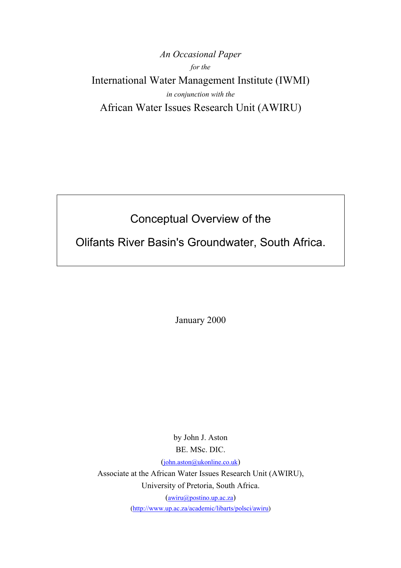*An Occasional Paper for the*  International Water Management Institute (IWMI) *in conjunction with the*  African Water Issues Research Unit (AWIRU)

# Conceptual Overview of the

Olifants River Basin's Groundwater, South Africa.

January 2000

by John J. Aston BE. MSc. DIC.

([john.aston@ukonline.co.uk\)](mailto:john.aston@ukonline.co.uk)

Associate at the African Water Issues Research Unit (AWIRU), University of Pretoria, South Africa.

[\(awiru@postino.up.ac.za](mailto:awiru@postino.up.ac.za))

[\(http://www.up.ac.za/academic/libarts/polsci/awiru](http://www.up.ac.za/academic/libarts/polsci/awiru))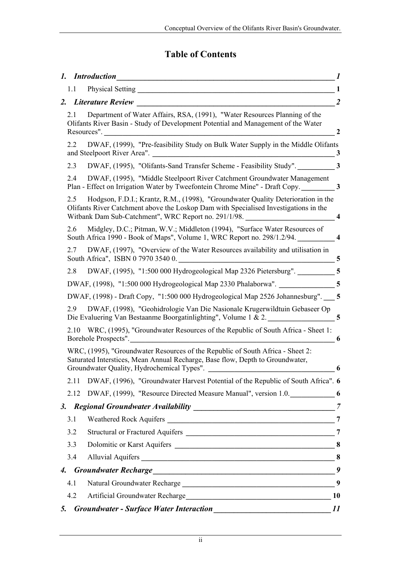# **Table of Contents**

|                                                                                                                                                                                                                                         | 1                       |
|-----------------------------------------------------------------------------------------------------------------------------------------------------------------------------------------------------------------------------------------|-------------------------|
| 1.1                                                                                                                                                                                                                                     | $\mathbf{1}$            |
| 2. Literature Review<br><u> 1980 - Jan James James Barnett, fransk politik (d. 1980)</u>                                                                                                                                                | $\overline{2}$          |
| Department of Water Affairs, RSA, (1991), "Water Resources Planning of the<br>2.1<br>Olifants River Basin - Study of Development Potential and Management of the Water<br>Resources".                                                   | $\overline{2}$          |
| DWAF, (1999), "Pre-feasibility Study on Bulk Water Supply in the Middle Olifants<br>2.2                                                                                                                                                 | 3                       |
| DWAF, (1995), "Olifants-Sand Transfer Scheme - Feasibility Study". 3<br>2.3                                                                                                                                                             |                         |
| DWAF, (1995), "Middle Steelpoort River Catchment Groundwater Management<br>2.4<br>Plan - Effect on Irrigation Water by Tweefontein Chrome Mine" - Draft Copy. 3                                                                         |                         |
| Hodgson, F.D.I.; Krantz, R.M., (1998), "Groundwater Quality Deterioration in the<br>2.5<br>Olifants River Catchment above the Loskop Dam with Specialised Investigations in the<br>Witbank Dam Sub-Catchment", WRC Report no. 291/1/98. | $\overline{\mathbf{4}}$ |
| 2.6<br>Midgley, D.C.; Pitman, W.V.; Middleton (1994), "Surface Water Resources of<br>South Africa 1990 - Book of Maps", Volume 1, WRC Report no. 298/1.2/94.                                                                            |                         |
| DWAF, (1997), "Overview of the Water Resources availability and utilisation in<br>2.7<br>South Africa", ISBN 0797035400.                                                                                                                | $\overline{5}$          |
| DWAF, (1995), "1:500 000 Hydrogeological Map 2326 Pietersburg". ___________ 5<br>2.8                                                                                                                                                    |                         |
| DWAF, (1998), "1:500 000 Hydrogeological Map 2330 Phalaborwa". _______________5                                                                                                                                                         |                         |
| DWAF, (1998) - Draft Copy, "1:500 000 Hydrogeological Map 2526 Johannesburg". 5                                                                                                                                                         |                         |
| 2.9<br>DWAF, (1998), "Geohidrologie Van Die Nasionale Krugerwildtuin Gebaseer Op<br>Die Evaluering Van Bestaanme Boorgatinlighting", Volume 1 & 2.                                                                                      |                         |
| 2.10 WRC, (1995), "Groundwater Resources of the Republic of South Africa - Sheet 1:<br>Borehole Prospects".                                                                                                                             | 6                       |
| WRC, (1995), "Groundwater Resources of the Republic of South Africa - Sheet 2:<br>Saturated Interstices, Mean Annual Recharge, Base flow, Depth to Groundwater,<br>Groundwater Quality, Hydrochemical Types".                           | 6                       |
| DWAF, (1996), "Groundwater Harvest Potential of the Republic of South Africa". 6<br>2.11                                                                                                                                                |                         |
| DWAF, (1999), "Resource Directed Measure Manual", version 1.0. 6<br>2.12                                                                                                                                                                |                         |
| 3.                                                                                                                                                                                                                                      | $\overline{7}$          |
| 3.1                                                                                                                                                                                                                                     |                         |
| 3.2                                                                                                                                                                                                                                     |                         |
| 3.3                                                                                                                                                                                                                                     |                         |
| 3.4                                                                                                                                                                                                                                     |                         |
| 4.                                                                                                                                                                                                                                      | 9                       |
| 4.1                                                                                                                                                                                                                                     | 9                       |
| 4.2                                                                                                                                                                                                                                     | <b>10</b>               |
| 5.                                                                                                                                                                                                                                      | 11                      |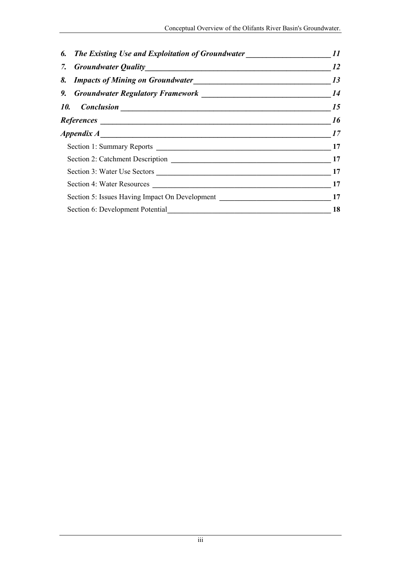| 6. The Existing Use and Exploitation of Groundwater | 11        |  |
|-----------------------------------------------------|-----------|--|
|                                                     | <i>12</i> |  |
|                                                     | 13        |  |
|                                                     | 14        |  |
|                                                     | 15        |  |
|                                                     | <i>16</i> |  |
|                                                     | 17        |  |
|                                                     |           |  |
|                                                     |           |  |
|                                                     | 17        |  |
|                                                     |           |  |
|                                                     |           |  |
| Section 6: Development Potential                    |           |  |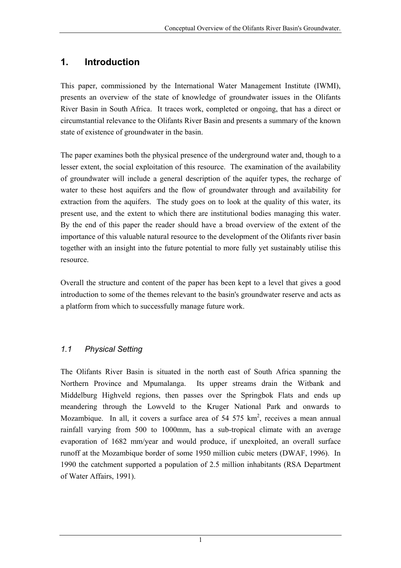# <span id="page-3-0"></span>**1. Introduction**

This paper, commissioned by the International Water Management Institute (IWMI), presents an overview of the state of knowledge of groundwater issues in the Olifants River Basin in South Africa. It traces work, completed or ongoing, that has a direct or circumstantial relevance to the Olifants River Basin and presents a summary of the known state of existence of groundwater in the basin.

The paper examines both the physical presence of the underground water and, though to a lesser extent, the social exploitation of this resource. The examination of the availability of groundwater will include a general description of the aquifer types, the recharge of water to these host aquifers and the flow of groundwater through and availability for extraction from the aquifers. The study goes on to look at the quality of this water, its present use, and the extent to which there are institutional bodies managing this water. By the end of this paper the reader should have a broad overview of the extent of the importance of this valuable natural resource to the development of the Olifants river basin together with an insight into the future potential to more fully yet sustainably utilise this resource.

Overall the structure and content of the paper has been kept to a level that gives a good introduction to some of the themes relevant to the basin's groundwater reserve and acts as a platform from which to successfully manage future work.

### *1.1 Physical Setting*

The Olifants River Basin is situated in the north east of South Africa spanning the Northern Province and Mpumalanga. Its upper streams drain the Witbank and Middelburg Highveld regions, then passes over the Springbok Flats and ends up meandering through the Lowveld to the Kruger National Park and onwards to Mozambique. In all, it covers a surface area of  $54, 575$  km<sup>2</sup>, receives a mean annual rainfall varying from 500 to 1000mm, has a sub-tropical climate with an average evaporation of 1682 mm/year and would produce, if unexploited, an overall surface runoff at the Mozambique border of some 1950 million cubic meters (DWAF, 1996). In 1990 the catchment supported a population of 2.5 million inhabitants (RSA Department of Water Affairs, 1991).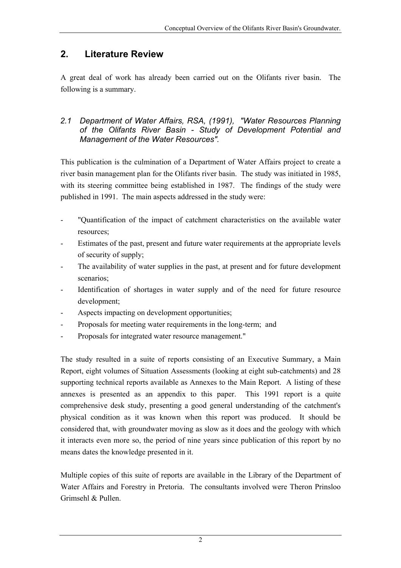# <span id="page-4-0"></span>**2. Literature Review**

A great deal of work has already been carried out on the Olifants river basin. The following is a summary.

### *2.1 Department of Water Affairs, RSA, (1991), "Water Resources Planning of the Olifants River Basin - Study of Development Potential and Management of the Water Resources".*

This publication is the culmination of a Department of Water Affairs project to create a river basin management plan for the Olifants river basin. The study was initiated in 1985, with its steering committee being established in 1987. The findings of the study were published in 1991. The main aspects addressed in the study were:

- "Quantification of the impact of catchment characteristics on the available water resources;
- Estimates of the past, present and future water requirements at the appropriate levels of security of supply;
- The availability of water supplies in the past, at present and for future development scenarios;
- Identification of shortages in water supply and of the need for future resource development;
- Aspects impacting on development opportunities;
- Proposals for meeting water requirements in the long-term; and
- Proposals for integrated water resource management."

The study resulted in a suite of reports consisting of an Executive Summary, a Main Report, eight volumes of Situation Assessments (looking at eight sub-catchments) and 28 supporting technical reports available as Annexes to the Main Report. A listing of these annexes is presented as an appendix to this paper. This 1991 report is a quite comprehensive desk study, presenting a good general understanding of the catchment's physical condition as it was known when this report was produced. It should be considered that, with groundwater moving as slow as it does and the geology with which it interacts even more so, the period of nine years since publication of this report by no means dates the knowledge presented in it.

Multiple copies of this suite of reports are available in the Library of the Department of Water Affairs and Forestry in Pretoria. The consultants involved were Theron Prinsloo Grimsehl & Pullen.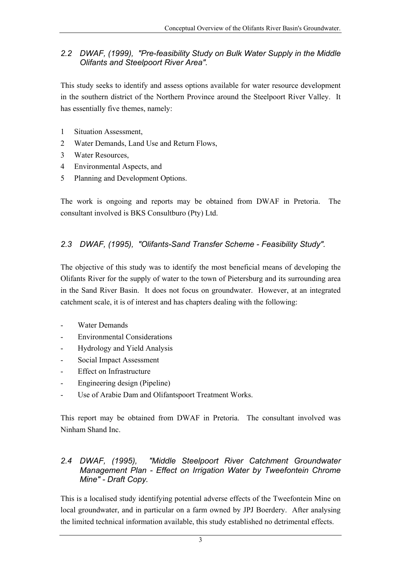### <span id="page-5-0"></span>*2.2 DWAF, (1999), "Pre-feasibility Study on Bulk Water Supply in the Middle Olifants and Steelpoort River Area".*

This study seeks to identify and assess options available for water resource development in the southern district of the Northern Province around the Steelpoort River Valley. It has essentially five themes, namely:

- 1 Situation Assessment,
- 2 Water Demands, Land Use and Return Flows,
- 3 Water Resources,
- 4 Environmental Aspects, and
- 5 Planning and Development Options.

The work is ongoing and reports may be obtained from DWAF in Pretoria. The consultant involved is BKS Consultburo (Pty) Ltd.

### *2.3 DWAF, (1995), "Olifants-Sand Transfer Scheme - Feasibility Study".*

The objective of this study was to identify the most beneficial means of developing the Olifants River for the supply of water to the town of Pietersburg and its surrounding area in the Sand River Basin. It does not focus on groundwater. However, at an integrated catchment scale, it is of interest and has chapters dealing with the following:

- Water Demands
- Environmental Considerations
- Hydrology and Yield Analysis
- Social Impact Assessment
- Effect on Infrastructure
- Engineering design (Pipeline)
- Use of Arabie Dam and Olifantspoort Treatment Works.

This report may be obtained from DWAF in Pretoria. The consultant involved was Ninham Shand Inc.

#### *2.4 DWAF, (1995), "Middle Steelpoort River Catchment Groundwater Management Plan - Effect on Irrigation Water by Tweefontein Chrome Mine" - Draft Copy.*

This is a localised study identifying potential adverse effects of the Tweefontein Mine on local groundwater, and in particular on a farm owned by JPJ Boerdery. After analysing the limited technical information available, this study established no detrimental effects.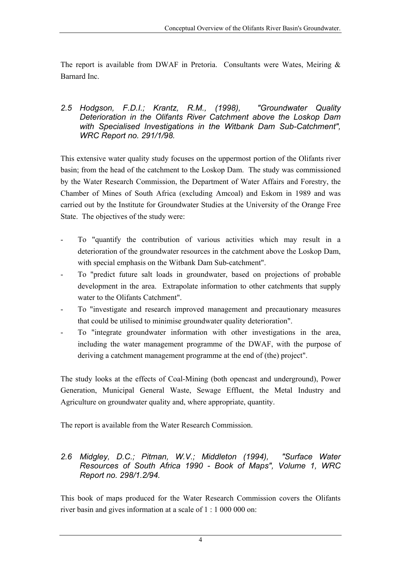<span id="page-6-0"></span>The report is available from DWAF in Pretoria. Consultants were Wates, Meiring  $\&$ Barnard Inc.

#### *2.5 Hodgson, F.D.I.; Krantz, R.M., (1998), "Groundwater Quality Deterioration in the Olifants River Catchment above the Loskop Dam with Specialised Investigations in the Witbank Dam Sub-Catchment", WRC Report no. 291/1/98.*

This extensive water quality study focuses on the uppermost portion of the Olifants river basin; from the head of the catchment to the Loskop Dam. The study was commissioned by the Water Research Commission, the Department of Water Affairs and Forestry, the Chamber of Mines of South Africa (excluding Amcoal) and Eskom in 1989 and was carried out by the Institute for Groundwater Studies at the University of the Orange Free State. The objectives of the study were:

- To "quantify the contribution of various activities which may result in a deterioration of the groundwater resources in the catchment above the Loskop Dam, with special emphasis on the Witbank Dam Sub-catchment".
- To "predict future salt loads in groundwater, based on projections of probable development in the area. Extrapolate information to other catchments that supply water to the Olifants Catchment".
- To "investigate and research improved management and precautionary measures that could be utilised to minimise groundwater quality deterioration".
- To "integrate groundwater information with other investigations in the area, including the water management programme of the DWAF, with the purpose of deriving a catchment management programme at the end of (the) project".

The study looks at the effects of Coal-Mining (both opencast and underground), Power Generation, Municipal General Waste, Sewage Effluent, the Metal Industry and Agriculture on groundwater quality and, where appropriate, quantity.

The report is available from the Water Research Commission.

#### *2.6 Midgley, D.C.; Pitman, W.V.; Middleton (1994), "Surface Water Resources of South Africa 1990 - Book of Maps", Volume 1, WRC Report no. 298/1.2/94.*

This book of maps produced for the Water Research Commission covers the Olifants river basin and gives information at a scale of 1 : 1 000 000 on: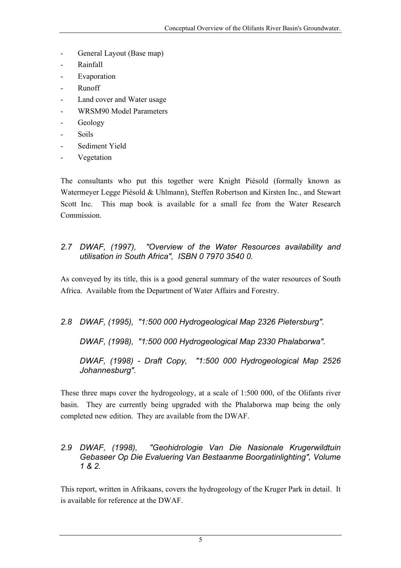- <span id="page-7-0"></span>General Layout (Base map)
- Rainfall
- Evaporation
- Runoff
- Land cover and Water usage
- WRSM90 Model Parameters
- Geology
- Soils
- Sediment Yield
- **Vegetation**

The consultants who put this together were Knight Piésold (formally known as Watermeyer Legge Piésold & Uhlmann), Steffen Robertson and Kirsten Inc., and Stewart Scott Inc. This map book is available for a small fee from the Water Research Commission.

#### *2.7 DWAF, (1997), "Overview of the Water Resources availability and utilisation in South Africa", ISBN 0 7970 3540 0.*

As conveyed by its title, this is a good general summary of the water resources of South Africa. Available from the Department of Water Affairs and Forestry.

### *2.8 DWAF, (1995), "1:500 000 Hydrogeological Map 2326 Pietersburg".*

*DWAF, (1998), "1:500 000 Hydrogeological Map 2330 Phalaborwa".* 

*DWAF, (1998) - Draft Copy, "1:500 000 Hydrogeological Map 2526 Johannesburg".* 

These three maps cover the hydrogeology, at a scale of 1:500 000, of the Olifants river basin. They are currently being upgraded with the Phalaborwa map being the only completed new edition. They are available from the DWAF.

#### *2.9 DWAF, (1998), "Geohidrologie Van Die Nasionale Krugerwildtuin Gebaseer Op Die Evaluering Van Bestaanme Boorgatinlighting", Volume 1 & 2.*

This report, written in Afrikaans, covers the hydrogeology of the Kruger Park in detail. It is available for reference at the DWAF.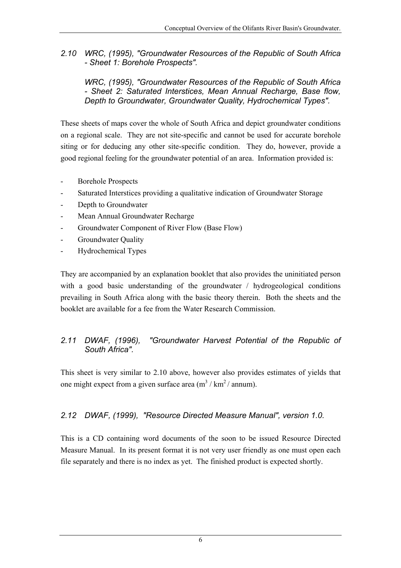<span id="page-8-0"></span>*2.10 WRC, (1995), "Groundwater Resources of the Republic of South Africa - Sheet 1: Borehole Prospects".* 

*WRC, (1995), "Groundwater Resources of the Republic of South Africa - Sheet 2: Saturated Interstices, Mean Annual Recharge, Base flow, Depth to Groundwater, Groundwater Quality, Hydrochemical Types".* 

These sheets of maps cover the whole of South Africa and depict groundwater conditions on a regional scale. They are not site-specific and cannot be used for accurate borehole siting or for deducing any other site-specific condition. They do, however, provide a good regional feeling for the groundwater potential of an area. Information provided is:

- Borehole Prospects
- Saturated Interstices providing a qualitative indication of Groundwater Storage
- Depth to Groundwater
- Mean Annual Groundwater Recharge
- Groundwater Component of River Flow (Base Flow)
- Groundwater Quality
- Hydrochemical Types

They are accompanied by an explanation booklet that also provides the uninitiated person with a good basic understanding of the groundwater / hydrogeological conditions prevailing in South Africa along with the basic theory therein. Both the sheets and the booklet are available for a fee from the Water Research Commission.

### *2.11 DWAF, (1996), "Groundwater Harvest Potential of the Republic of South Africa".*

This sheet is very similar to 2.10 above, however also provides estimates of yields that one might expect from a given surface area  $(m^3 / km^2 / annum)$ .

### *2.12 DWAF, (1999), "Resource Directed Measure Manual", version 1.0.*

This is a CD containing word documents of the soon to be issued Resource Directed Measure Manual. In its present format it is not very user friendly as one must open each file separately and there is no index as yet. The finished product is expected shortly.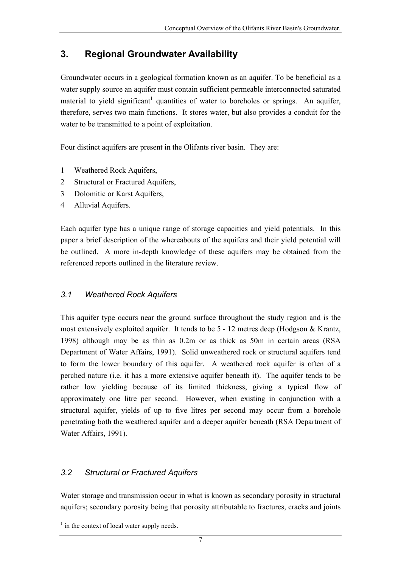# <span id="page-9-0"></span>**3. Regional Groundwater Availability**

Groundwater occurs in a geological formation known as an aquifer. To be beneficial as a water supply source an aquifer must contain sufficient permeable interconnected saturated material to yield significant<sup>[1](#page-9-1)</sup> quantities of water to boreholes or springs. An aquifer, therefore, serves two main functions. It stores water, but also provides a conduit for the water to be transmitted to a point of exploitation.

Four distinct aquifers are present in the Olifants river basin. They are:

- 1 Weathered Rock Aquifers,
- 2 Structural or Fractured Aquifers,
- 3 Dolomitic or Karst Aquifers,
- 4 Alluvial Aquifers.

Each aquifer type has a unique range of storage capacities and yield potentials. In this paper a brief description of the whereabouts of the aquifers and their yield potential will be outlined. A more in-depth knowledge of these aquifers may be obtained from the referenced reports outlined in the literature review.

### *3.1 Weathered Rock Aquifers*

This aquifer type occurs near the ground surface throughout the study region and is the most extensively exploited aquifer. It tends to be 5 - 12 metres deep (Hodgson & Krantz, 1998) although may be as thin as 0.2m or as thick as 50m in certain areas (RSA Department of Water Affairs, 1991). Solid unweathered rock or structural aquifers tend to form the lower boundary of this aquifer. A weathered rock aquifer is often of a perched nature (i.e. it has a more extensive aquifer beneath it). The aquifer tends to be rather low yielding because of its limited thickness, giving a typical flow of approximately one litre per second. However, when existing in conjunction with a structural aquifer, yields of up to five litres per second may occur from a borehole penetrating both the weathered aquifer and a deeper aquifer beneath (RSA Department of Water Affairs, 1991).

### *3.2 Structural or Fractured Aquifers*

Water storage and transmission occur in what is known as secondary porosity in structural aquifers; secondary porosity being that porosity attributable to fractures, cracks and joints

<span id="page-9-1"></span> <sup>1</sup>  $\frac{1}{1}$  in the context of local water supply needs.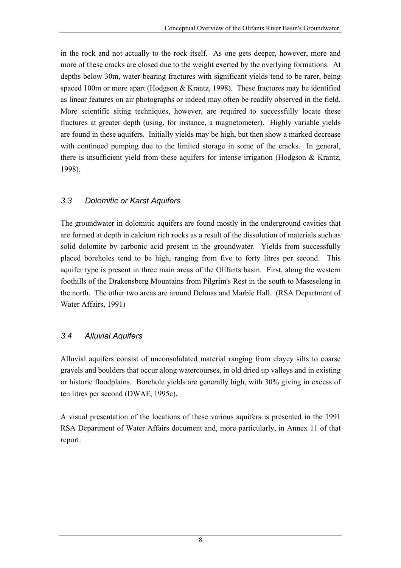<span id="page-10-0"></span>in the rock and not actually to the rock itself. As one gets deeper, however, more and more of these cracks are closed due to the weight exerted by the overlying formations. At depths below 30m, water-bearing fractures with significant yields tend to be rarer, being spaced 100m or more apart (Hodgson & Krantz, 1998). These fractures may be identified as linear features on air photographs or indeed may often be readily observed in the field. More scientific siting techniques, however, are required to successfully locate these fractures at greater depth (using, for instance, a magnetometer). Highly variable yields are found in these aquifers. Initially yields may be high, but then show a marked decrease with continued pumping due to the limited storage in some of the cracks. In general, there is insufficient yield from these aquifers for intense irrigation (Hodgson & Krantz, 1998).

### *3.3 Dolomitic or Karst Aquifers*

The groundwater in dolomitic aquifers are found mostly in the underground cavities that are formed at depth in calcium rich rocks as a result of the dissolution of materials such as solid dolomite by carbonic acid present in the groundwater. Yields from successfully placed boreholes tend to be high, ranging from five to forty litres per second. This aquifer type is present in three main areas of the Olifants basin. First, along the western foothills of the Drakensberg Mountains from Pilgrim's Rest in the south to Maseseleng in the north. The other two areas are around Delmas and Marble Hall. (RSA Department of Water Affairs, 1991)

### *3.4 Alluvial Aquifers*

Alluvial aquifers consist of unconsolidated material ranging from clayey silts to coarse gravels and boulders that occur along watercourses, in old dried up valleys and in existing or historic floodplains. Borehole yields are generally high, with 30% giving in excess of ten litres per second (DWAF, 1995c).

A visual presentation of the locations of these various aquifers is presented in the 1991 RSA Department of Water Affairs document and, more particularly, in Annex 11 of that report.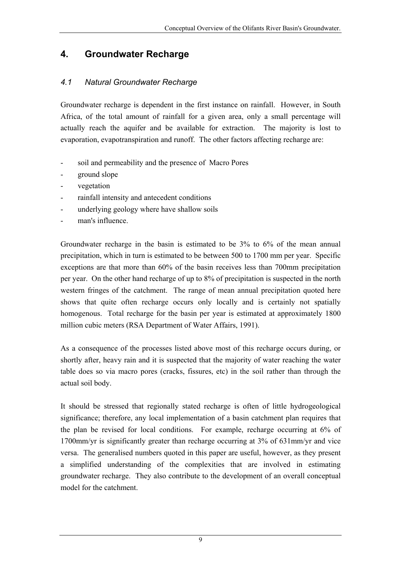# <span id="page-11-0"></span>**4. Groundwater Recharge**

### *4.1 Natural Groundwater Recharge*

Groundwater recharge is dependent in the first instance on rainfall. However, in South Africa, of the total amount of rainfall for a given area, only a small percentage will actually reach the aquifer and be available for extraction. The majority is lost to evaporation, evapotranspiration and runoff. The other factors affecting recharge are:

- soil and permeability and the presence of Macro Pores
- ground slope
- vegetation
- rainfall intensity and antecedent conditions
- underlying geology where have shallow soils
- man's influence.

Groundwater recharge in the basin is estimated to be 3% to 6% of the mean annual precipitation, which in turn is estimated to be between 500 to 1700 mm per year. Specific exceptions are that more than 60% of the basin receives less than 700mm precipitation per year. On the other hand recharge of up to 8% of precipitation is suspected in the north western fringes of the catchment. The range of mean annual precipitation quoted here shows that quite often recharge occurs only locally and is certainly not spatially homogenous. Total recharge for the basin per year is estimated at approximately 1800 million cubic meters (RSA Department of Water Affairs, 1991).

As a consequence of the processes listed above most of this recharge occurs during, or shortly after, heavy rain and it is suspected that the majority of water reaching the water table does so via macro pores (cracks, fissures, etc) in the soil rather than through the actual soil body.

It should be stressed that regionally stated recharge is often of little hydrogeological significance; therefore, any local implementation of a basin catchment plan requires that the plan be revised for local conditions. For example, recharge occurring at 6% of 1700mm/yr is significantly greater than recharge occurring at 3% of 631mm/yr and vice versa. The generalised numbers quoted in this paper are useful, however, as they present a simplified understanding of the complexities that are involved in estimating groundwater recharge. They also contribute to the development of an overall conceptual model for the catchment.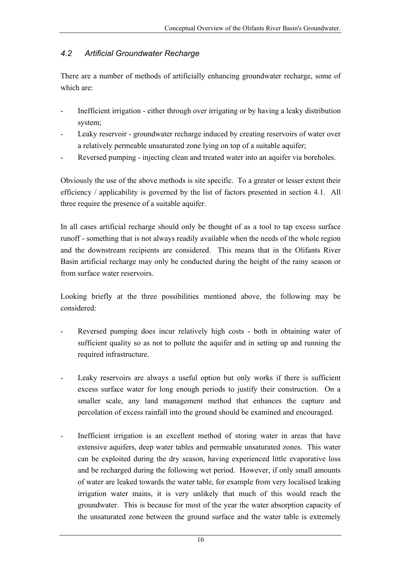### <span id="page-12-0"></span>*4.2 Artificial Groundwater Recharge*

There are a number of methods of artificially enhancing groundwater recharge, some of which are:

- Inefficient irrigation either through over irrigating or by having a leaky distribution system;
- Leaky reservoir groundwater recharge induced by creating reservoirs of water over a relatively permeable unsaturated zone lying on top of a suitable aquifer;
- Reversed pumping injecting clean and treated water into an aquifer via boreholes.

Obviously the use of the above methods is site specific. To a greater or lesser extent their efficiency / applicability is governed by the list of factors presented in section 4.1. All three require the presence of a suitable aquifer.

In all cases artificial recharge should only be thought of as a tool to tap excess surface runoff - something that is not always readily available when the needs of the whole region and the downstream recipients are considered. This means that in the Olifants River Basin artificial recharge may only be conducted during the height of the rainy season or from surface water reservoirs.

Looking briefly at the three possibilities mentioned above, the following may be considered:

- Reversed pumping does incur relatively high costs both in obtaining water of sufficient quality so as not to pollute the aquifer and in setting up and running the required infrastructure.
- Leaky reservoirs are always a useful option but only works if there is sufficient excess surface water for long enough periods to justify their construction. On a smaller scale, any land management method that enhances the capture and percolation of excess rainfall into the ground should be examined and encouraged.
- Inefficient irrigation is an excellent method of storing water in areas that have extensive aquifers, deep water tables and permeable unsaturated zones. This water can be exploited during the dry season, having experienced little evaporative loss and be recharged during the following wet period. However, if only small amounts of water are leaked towards the water table, for example from very localised leaking irrigation water mains, it is very unlikely that much of this would reach the groundwater. This is because for most of the year the water absorption capacity of the unsaturated zone between the ground surface and the water table is extremely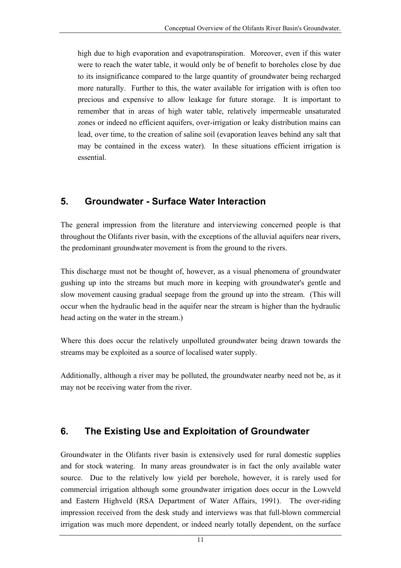<span id="page-13-0"></span>high due to high evaporation and evapotranspiration. Moreover, even if this water were to reach the water table, it would only be of benefit to boreholes close by due to its insignificance compared to the large quantity of groundwater being recharged more naturally. Further to this, the water available for irrigation with is often too precious and expensive to allow leakage for future storage. It is important to remember that in areas of high water table, relatively impermeable unsaturated zones or indeed no efficient aquifers, over-irrigation or leaky distribution mains can lead, over time, to the creation of saline soil (evaporation leaves behind any salt that may be contained in the excess water). In these situations efficient irrigation is essential.

# **5. Groundwater - Surface Water Interaction**

The general impression from the literature and interviewing concerned people is that throughout the Olifants river basin, with the exceptions of the alluvial aquifers near rivers, the predominant groundwater movement is from the ground to the rivers.

This discharge must not be thought of, however, as a visual phenomena of groundwater gushing up into the streams but much more in keeping with groundwater's gentle and slow movement causing gradual seepage from the ground up into the stream. (This will occur when the hydraulic head in the aquifer near the stream is higher than the hydraulic head acting on the water in the stream.)

Where this does occur the relatively unpolluted groundwater being drawn towards the streams may be exploited as a source of localised water supply.

Additionally, although a river may be polluted, the groundwater nearby need not be, as it may not be receiving water from the river.

# **6. The Existing Use and Exploitation of Groundwater**

Groundwater in the Olifants river basin is extensively used for rural domestic supplies and for stock watering. In many areas groundwater is in fact the only available water source. Due to the relatively low yield per borehole, however, it is rarely used for commercial irrigation although some groundwater irrigation does occur in the Lowveld and Eastern Highveld (RSA Department of Water Affairs, 1991). The over-riding impression received from the desk study and interviews was that full-blown commercial irrigation was much more dependent, or indeed nearly totally dependent, on the surface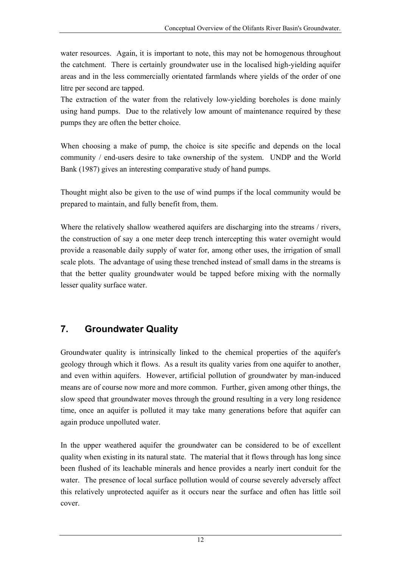<span id="page-14-0"></span>water resources. Again, it is important to note, this may not be homogenous throughout the catchment. There is certainly groundwater use in the localised high-yielding aquifer areas and in the less commercially orientated farmlands where yields of the order of one litre per second are tapped.

The extraction of the water from the relatively low-yielding boreholes is done mainly using hand pumps. Due to the relatively low amount of maintenance required by these pumps they are often the better choice.

When choosing a make of pump, the choice is site specific and depends on the local community / end-users desire to take ownership of the system. UNDP and the World Bank (1987) gives an interesting comparative study of hand pumps.

Thought might also be given to the use of wind pumps if the local community would be prepared to maintain, and fully benefit from, them.

Where the relatively shallow weathered aquifers are discharging into the streams / rivers, the construction of say a one meter deep trench intercepting this water overnight would provide a reasonable daily supply of water for, among other uses, the irrigation of small scale plots. The advantage of using these trenched instead of small dams in the streams is that the better quality groundwater would be tapped before mixing with the normally lesser quality surface water.

# **7. Groundwater Quality**

Groundwater quality is intrinsically linked to the chemical properties of the aquifer's geology through which it flows. As a result its quality varies from one aquifer to another, and even within aquifers. However, artificial pollution of groundwater by man-induced means are of course now more and more common. Further, given among other things, the slow speed that groundwater moves through the ground resulting in a very long residence time, once an aquifer is polluted it may take many generations before that aquifer can again produce unpolluted water.

In the upper weathered aquifer the groundwater can be considered to be of excellent quality when existing in its natural state. The material that it flows through has long since been flushed of its leachable minerals and hence provides a nearly inert conduit for the water. The presence of local surface pollution would of course severely adversely affect this relatively unprotected aquifer as it occurs near the surface and often has little soil cover.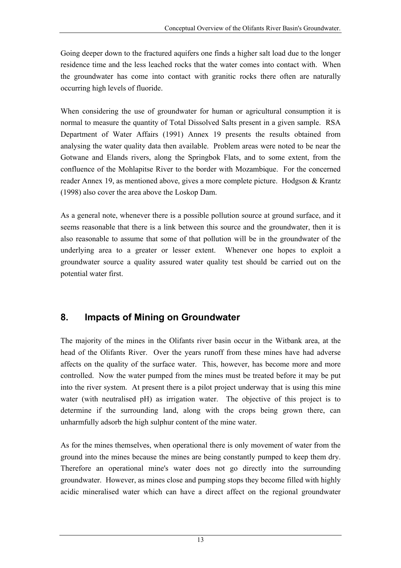<span id="page-15-0"></span>Going deeper down to the fractured aquifers one finds a higher salt load due to the longer residence time and the less leached rocks that the water comes into contact with. When the groundwater has come into contact with granitic rocks there often are naturally occurring high levels of fluoride.

When considering the use of groundwater for human or agricultural consumption it is normal to measure the quantity of Total Dissolved Salts present in a given sample. RSA Department of Water Affairs (1991) Annex 19 presents the results obtained from analysing the water quality data then available. Problem areas were noted to be near the Gotwane and Elands rivers, along the Springbok Flats, and to some extent, from the confluence of the Mohlapitse River to the border with Mozambique. For the concerned reader Annex 19, as mentioned above, gives a more complete picture. Hodgson & Krantz (1998) also cover the area above the Loskop Dam.

As a general note, whenever there is a possible pollution source at ground surface, and it seems reasonable that there is a link between this source and the groundwater, then it is also reasonable to assume that some of that pollution will be in the groundwater of the underlying area to a greater or lesser extent. Whenever one hopes to exploit a groundwater source a quality assured water quality test should be carried out on the potential water first.

# **8. Impacts of Mining on Groundwater**

The majority of the mines in the Olifants river basin occur in the Witbank area, at the head of the Olifants River. Over the years runoff from these mines have had adverse affects on the quality of the surface water. This, however, has become more and more controlled. Now the water pumped from the mines must be treated before it may be put into the river system. At present there is a pilot project underway that is using this mine water (with neutralised pH) as irrigation water. The objective of this project is to determine if the surrounding land, along with the crops being grown there, can unharmfully adsorb the high sulphur content of the mine water.

As for the mines themselves, when operational there is only movement of water from the ground into the mines because the mines are being constantly pumped to keep them dry. Therefore an operational mine's water does not go directly into the surrounding groundwater. However, as mines close and pumping stops they become filled with highly acidic mineralised water which can have a direct affect on the regional groundwater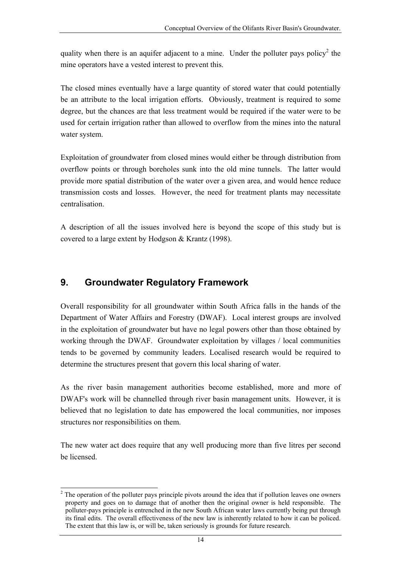<span id="page-16-0"></span>quality when there is an aquifer adjacent to a mine. Under the polluter pays policy<sup>[2](#page-16-1)</sup> the mine operators have a vested interest to prevent this.

The closed mines eventually have a large quantity of stored water that could potentially be an attribute to the local irrigation efforts. Obviously, treatment is required to some degree, but the chances are that less treatment would be required if the water were to be used for certain irrigation rather than allowed to overflow from the mines into the natural water system.

Exploitation of groundwater from closed mines would either be through distribution from overflow points or through boreholes sunk into the old mine tunnels. The latter would provide more spatial distribution of the water over a given area, and would hence reduce transmission costs and losses. However, the need for treatment plants may necessitate centralisation.

A description of all the issues involved here is beyond the scope of this study but is covered to a large extent by Hodgson & Krantz (1998).

# **9. Groundwater Regulatory Framework**

Overall responsibility for all groundwater within South Africa falls in the hands of the Department of Water Affairs and Forestry (DWAF). Local interest groups are involved in the exploitation of groundwater but have no legal powers other than those obtained by working through the DWAF. Groundwater exploitation by villages / local communities tends to be governed by community leaders. Localised research would be required to determine the structures present that govern this local sharing of water.

As the river basin management authorities become established, more and more of DWAF's work will be channelled through river basin management units. However, it is believed that no legislation to date has empowered the local communities, nor imposes structures nor responsibilities on them.

The new water act does require that any well producing more than five litres per second be licensed.

<span id="page-16-1"></span> $\frac{1}{2}$  $2$ . The operation of the polluter pays principle pivots around the idea that if pollution leaves one owners property and goes on to damage that of another then the original owner is held responsible. The polluter-pays principle is entrenched in the new South African water laws currently being put through its final edits. The overall effectiveness of the new law is inherently related to how it can be policed. The extent that this law is, or will be, taken seriously is grounds for future research.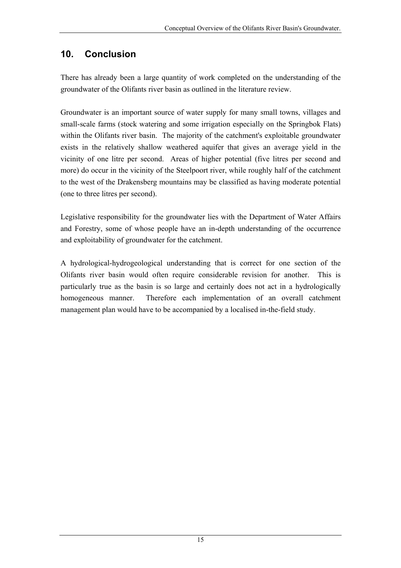# <span id="page-17-0"></span>**10. Conclusion**

There has already been a large quantity of work completed on the understanding of the groundwater of the Olifants river basin as outlined in the literature review.

Groundwater is an important source of water supply for many small towns, villages and small-scale farms (stock watering and some irrigation especially on the Springbok Flats) within the Olifants river basin. The majority of the catchment's exploitable groundwater exists in the relatively shallow weathered aquifer that gives an average yield in the vicinity of one litre per second. Areas of higher potential (five litres per second and more) do occur in the vicinity of the Steelpoort river, while roughly half of the catchment to the west of the Drakensberg mountains may be classified as having moderate potential (one to three litres per second).

Legislative responsibility for the groundwater lies with the Department of Water Affairs and Forestry, some of whose people have an in-depth understanding of the occurrence and exploitability of groundwater for the catchment.

A hydrological-hydrogeological understanding that is correct for one section of the Olifants river basin would often require considerable revision for another. This is particularly true as the basin is so large and certainly does not act in a hydrologically homogeneous manner. Therefore each implementation of an overall catchment management plan would have to be accompanied by a localised in-the-field study.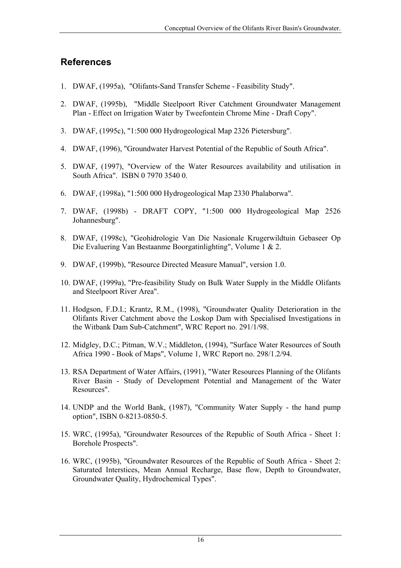# <span id="page-18-0"></span>**References**

- 1. DWAF, (1995a), "Olifants-Sand Transfer Scheme Feasibility Study".
- 2. DWAF, (1995b), "Middle Steelpoort River Catchment Groundwater Management Plan - Effect on Irrigation Water by Tweefontein Chrome Mine - Draft Copy".
- 3. DWAF, (1995c), "1:500 000 Hydrogeological Map 2326 Pietersburg".
- 4. DWAF, (1996), "Groundwater Harvest Potential of the Republic of South Africa".
- 5. DWAF, (1997), "Overview of the Water Resources availability and utilisation in South Africa". ISBN 0 7970 3540 0.
- 6. DWAF, (1998a), "1:500 000 Hydrogeological Map 2330 Phalaborwa".
- 7. DWAF, (1998b) DRAFT COPY, "1:500 000 Hydrogeological Map 2526 Johannesburg".
- 8. DWAF, (1998c), "Geohidrologie Van Die Nasionale Krugerwildtuin Gebaseer Op Die Evaluering Van Bestaanme Boorgatinlighting", Volume 1 & 2.
- 9. DWAF, (1999b), "Resource Directed Measure Manual", version 1.0.
- 10. DWAF, (1999a), "Pre-feasibility Study on Bulk Water Supply in the Middle Olifants and Steelpoort River Area".
- 11. Hodgson, F.D.I.; Krantz, R.M., (1998), "Groundwater Quality Deterioration in the Olifants River Catchment above the Loskop Dam with Specialised Investigations in the Witbank Dam Sub-Catchment", WRC Report no. 291/1/98.
- 12. Midgley, D.C.; Pitman, W.V.; Middleton, (1994), "Surface Water Resources of South Africa 1990 - Book of Maps", Volume 1, WRC Report no. 298/1.2/94.
- 13. RSA Department of Water Affairs, (1991), "Water Resources Planning of the Olifants River Basin - Study of Development Potential and Management of the Water Resources".
- 14. UNDP and the World Bank, (1987), "Community Water Supply the hand pump option", ISBN 0-8213-0850-5.
- 15. WRC, (1995a), "Groundwater Resources of the Republic of South Africa Sheet 1: Borehole Prospects".
- 16. WRC, (1995b), "Groundwater Resources of the Republic of South Africa Sheet 2: Saturated Interstices, Mean Annual Recharge, Base flow, Depth to Groundwater, Groundwater Quality, Hydrochemical Types".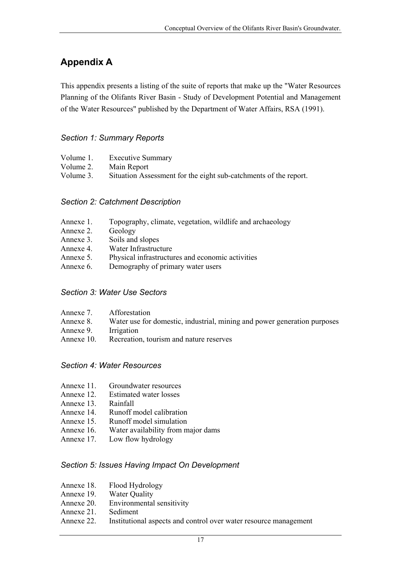# <span id="page-19-0"></span>**Appendix A**

This appendix presents a listing of the suite of reports that make up the "Water Resources Planning of the Olifants River Basin - Study of Development Potential and Management of the Water Resources" published by the Department of Water Affairs, RSA (1991).

### *Section 1: Summary Reports*

| Volume 1. | <b>Executive Summary</b>                                         |
|-----------|------------------------------------------------------------------|
| Volume 2. | Main Report                                                      |
| Volume 3. | Situation Assessment for the eight sub-catchments of the report. |

#### *Section 2: Catchment Description*

- Annexe 1. Topography, climate, vegetation, wildlife and archaeology
- Annexe 2. Geology
- Annexe 3. Soils and slopes
- Annexe 4. Water Infrastructure
- Annexe 5. Physical infrastructures and economic activities
- Annexe 6. Demography of primary water users

#### *Section 3: Water Use Sectors*

| Afforestation                                                            |
|--------------------------------------------------------------------------|
| Water use for domestic, industrial, mining and power generation purposes |
| Irrigation                                                               |
| Recreation, tourism and nature reserves                                  |
|                                                                          |

### *Section 4: Water Resources*

- Annexe 11. Groundwater resources
- Annexe 12. Estimated water losses
- Annexe 13. Rainfall
- Annexe 14. Runoff model calibration
- Annexe 15. Runoff model simulation
- Annexe 16. Water availability from major dams
- Annexe 17. Low flow hydrology

### *Section 5: Issues Having Impact On Development*

- Annexe 18. Flood Hydrology
- Annexe 19. Water Quality
- Annexe 20. Environmental sensitivity
- Annexe 21. Sediment
- Annexe 22. Institutional aspects and control over water resource management